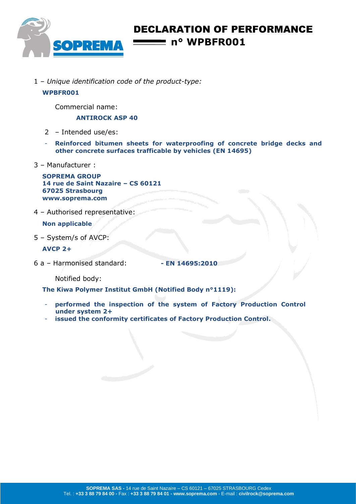

# DECLARATION OF PERFORMANCE **n° WPBFR001**

1 – *Unique identification code of the product-type:*

### **WPBFR001**

Commercial name:

**ANTIROCK ASP 40**

- 2 Intended use/es:
- **Reinforced bitumen sheets for waterproofing of concrete bridge decks and other concrete surfaces trafficable by vehicles (EN 14695)**
- 3 Manufacturer :

**SOPREMA GROUP 14 rue de Saint Nazaire – CS 60121 67025 Strasbourg www.soprema.com**

4 – Authorised representative:

**Non applicable**

5 – System/s of AVCP:

**AVCP 2+**

6 a – Harmonised standard: **- EN 14695:2010**

Notified body:

**The Kiwa Polymer Institut GmbH (Notified Body n°1119):**

- performed the inspection of the system of Factory Production Control **under system 2+**
- **issued the conformity certificates of Factory Production Control.**